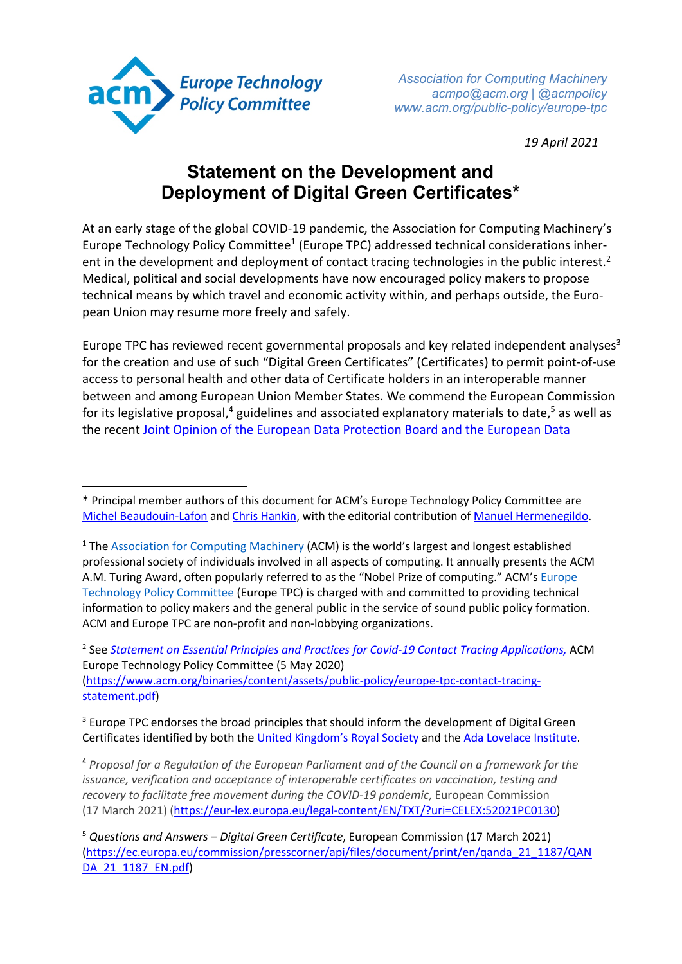

*Association for Computing Machinery acmpo@acm.org | @acmpolicy www.acm.org/public-policy/europe-tpc*

*19 April 2021*

## **Statement on the Development and Deployment of Digital Green Certificates\***

At an early stage of the global COVID-19 pandemic, the Association for Computing Machinery's Europe Technology Policy Committee<sup>1</sup> (Europe TPC) addressed technical considerations inherent in the development and deployment of contact tracing technologies in the public interest.<sup>2</sup> Medical, political and social developments have now encouraged policy makers to propose technical means by which travel and economic activity within, and perhaps outside, the European Union may resume more freely and safely.

Europe TPC has reviewed recent governmental proposals and key related independent analyses<sup>3</sup> for the creation and use of such "Digital Green Certificates" (Certificates) to permit point-of-use access to personal health and other data of Certificate holders in an interoperable manner between and among European Union Member States. We commend the European Commission for its legislative proposal,<sup>4</sup> guidelines and associated explanatory materials to date,<sup>5</sup> as well as the recent Joint Opinion of the European Data Protection Board and the European Data

<sup>2</sup> See *Statement on Essential Principles and Practices for Covid-19 Contact Tracing Applications,* ACM Europe Technology Policy Committee (5 May 2020) (https://www.acm.org/binaries/content/assets/public-policy/europe-tpc-contact-tracingstatement.pdf)

<sup>3</sup> Europe TPC endorses the broad principles that should inform the development of Digital Green Certificates identified by both the United Kingdom's Royal Society and the Ada Lovelace Institute.

<sup>4</sup> *Proposal for a Regulation of the European Parliament and of the Council on a framework for the issuance, verification and acceptance of interoperable certificates on vaccination, testing and recovery to facilitate free movement during the COVID-19 pandemic*, European Commission (17 March 2021) (https://eur-lex.europa.eu/legal-content/EN/TXT/?uri=CELEX:52021PC0130)

**<sup>\*</sup>** Principal member authors of this document for ACM's Europe Technology Policy Committee are Michel Beaudouin-Lafon and Chris Hankin, with the editorial contribution of Manuel Hermenegildo.

<sup>&</sup>lt;sup>1</sup> The Association for Computing Machinery (ACM) is the world's largest and longest established professional society of individuals involved in all aspects of computing. It annually presents the ACM A.M. Turing Award, often popularly referred to as the "Nobel Prize of computing." ACM's Europe Technology Policy Committee (Europe TPC) is charged with and committed to providing technical information to policy makers and the general public in the service of sound public policy formation. ACM and Europe TPC are non-profit and non-lobbying organizations.

<sup>5</sup> *Questions and Answers – Digital Green Certificate*, European Commission (17 March 2021) (https://ec.europa.eu/commission/presscorner/api/files/document/print/en/qanda\_21\_1187/QAN DA 21 1187 EN.pdf)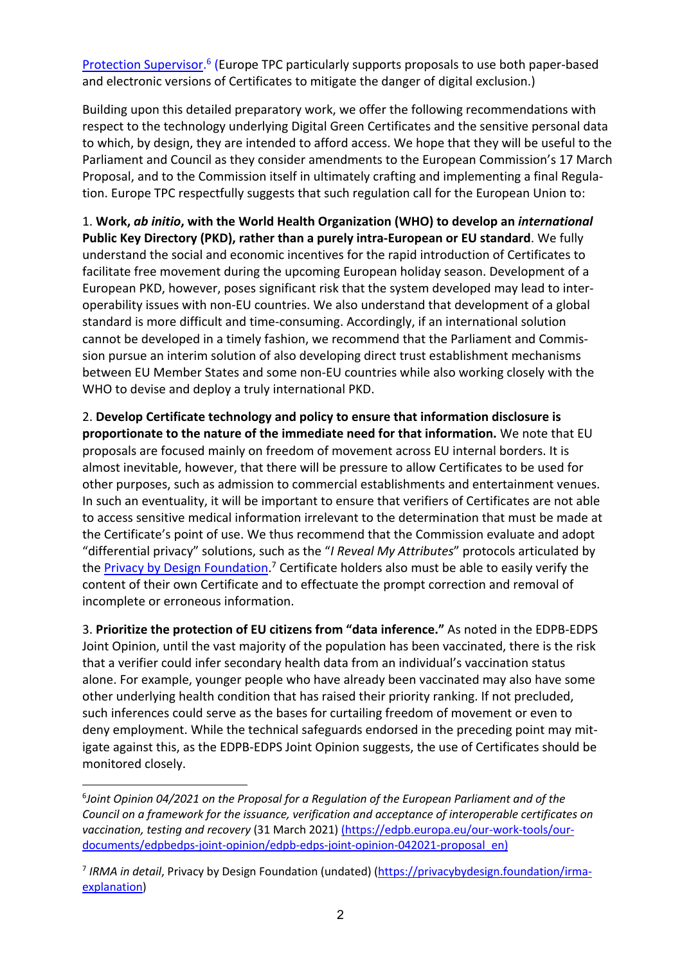Protection Supervisor.<sup>6</sup> (Europe TPC particularly supports proposals to use both paper-based and electronic versions of Certificates to mitigate the danger of digital exclusion.)

Building upon this detailed preparatory work, we offer the following recommendations with respect to the technology underlying Digital Green Certificates and the sensitive personal data to which, by design, they are intended to afford access. We hope that they will be useful to the Parliament and Council as they consider amendments to the European Commission's 17 March Proposal, and to the Commission itself in ultimately crafting and implementing a final Regulation. Europe TPC respectfully suggests that such regulation call for the European Union to:

1. **Work,** *ab initio***, with the World Health Organization (WHO) to develop an** *international* **Public Key Directory (PKD), rather than a purely intra-European or EU standard**. We fully understand the social and economic incentives for the rapid introduction of Certificates to facilitate free movement during the upcoming European holiday season. Development of a European PKD, however, poses significant risk that the system developed may lead to interoperability issues with non-EU countries. We also understand that development of a global standard is more difficult and time-consuming. Accordingly, if an international solution cannot be developed in a timely fashion, we recommend that the Parliament and Commission pursue an interim solution of also developing direct trust establishment mechanisms between EU Member States and some non-EU countries while also working closely with the WHO to devise and deploy a truly international PKD.

2. **Develop Certificate technology and policy to ensure that information disclosure is proportionate to the nature of the immediate need for that information.** We note that EU proposals are focused mainly on freedom of movement across EU internal borders. It is almost inevitable, however, that there will be pressure to allow Certificates to be used for other purposes, such as admission to commercial establishments and entertainment venues. In such an eventuality, it will be important to ensure that verifiers of Certificates are not able to access sensitive medical information irrelevant to the determination that must be made at the Certificate's point of use. We thus recommend that the Commission evaluate and adopt "differential privacy" solutions, such as the "*I Reveal My Attributes*" protocols articulated by the **Privacy by Design Foundation**.<sup>7</sup> Certificate holders also must be able to easily verify the content of their own Certificate and to effectuate the prompt correction and removal of incomplete or erroneous information.

3. **Prioritize the protection of EU citizens from "data inference."** As noted in the EDPB-EDPS Joint Opinion, until the vast majority of the population has been vaccinated, there is the risk that a verifier could infer secondary health data from an individual's vaccination status alone. For example, younger people who have already been vaccinated may also have some other underlying health condition that has raised their priority ranking. If not precluded, such inferences could serve as the bases for curtailing freedom of movement or even to deny employment. While the technical safeguards endorsed in the preceding point may mitigate against this, as the EDPB-EDPS Joint Opinion suggests, the use of Certificates should be monitored closely.

<sup>6</sup> *Joint Opinion 04/2021 on the Proposal for a Regulation of the European Parliament and of the Council on a framework for the issuance, verification and acceptance of interoperable certificates on vaccination, testing and recovery* (31 March 2021) (https://edpb.europa.eu/our-work-tools/ourdocuments/edpbedps-joint-opinion/edpb-edps-joint-opinion-042021-proposal\_en)

<sup>7</sup> *IRMA in detail*, Privacy by Design Foundation (undated) (https://privacybydesign.foundation/irmaexplanation)